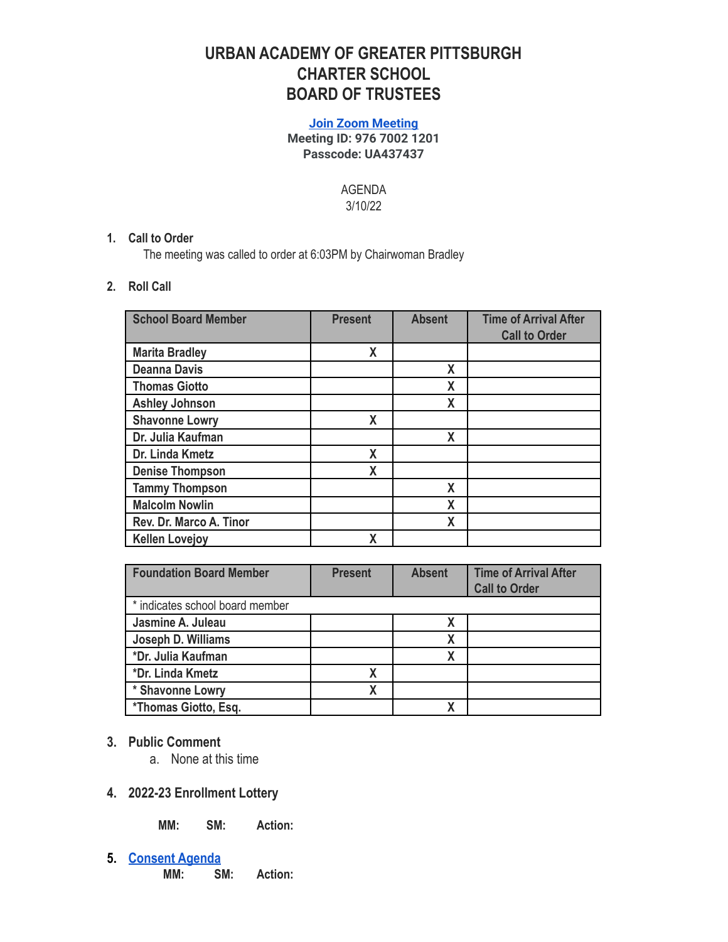# **URBAN ACADEMY OF GREATER PITTSBURGH CHARTER SCHOOL BOARD OF TRUSTEES**

#### **[Join Zoom Meeting](https://us06web.zoom.us/j/97670021201?pwd=c0FQMzUwb2tlODA4WGlEMURyWHpYUT09) Meeting ID: 976 7002 1201 Passcode: UA437437**

AGENDA 3/10/22

## **1. Call to Order**

The meeting was called to order at 6:03PM by Chairwoman Bradley

### **2. Roll Call**

| <b>School Board Member</b> | <b>Present</b>   | <b>Absent</b> | <b>Time of Arrival After</b><br><b>Call to Order</b> |
|----------------------------|------------------|---------------|------------------------------------------------------|
| <b>Marita Bradley</b>      | X                |               |                                                      |
| <b>Deanna Davis</b>        |                  | χ             |                                                      |
| <b>Thomas Giotto</b>       |                  | X             |                                                      |
| <b>Ashley Johnson</b>      |                  | X             |                                                      |
| <b>Shavonne Lowry</b>      | X                |               |                                                      |
| Dr. Julia Kaufman          |                  | X             |                                                      |
| Dr. Linda Kmetz            | $\boldsymbol{X}$ |               |                                                      |
| <b>Denise Thompson</b>     | X                |               |                                                      |
| <b>Tammy Thompson</b>      |                  | X             |                                                      |
| <b>Malcolm Nowlin</b>      |                  | X             |                                                      |
| Rev. Dr. Marco A. Tinor    |                  | X             |                                                      |
| <b>Kellen Lovejoy</b>      | χ                |               |                                                      |

| <b>Foundation Board Member</b>  | <b>Present</b> | <b>Absent</b> | <b>Time of Arrival After</b><br><b>Call to Order</b> |
|---------------------------------|----------------|---------------|------------------------------------------------------|
| * indicates school board member |                |               |                                                      |
| Jasmine A. Juleau               |                |               |                                                      |
| Joseph D. Williams              |                | Χ             |                                                      |
| *Dr. Julia Kaufman              |                |               |                                                      |
| *Dr. Linda Kmetz                | Χ              |               |                                                      |
| * Shavonne Lowry                | χ              |               |                                                      |
| *Thomas Giotto, Esq.            |                |               |                                                      |

- **3. Public Comment**
	- a. None at this time
- **4. 2022-23 Enrollment Lottery**

**MM: SM: Action:**

**5. [Consent Agenda](https://docs.google.com/document/d/1PMUdrSSkuY0Nq5uDjTCvAO6ni1ncYnO7s9wpuKvYCNc/edit?usp=sharing) MM: SM: Action:**